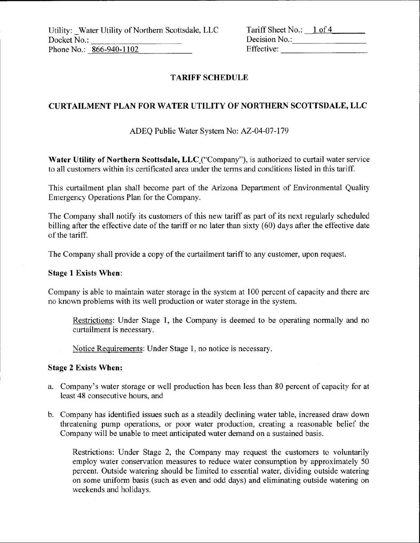Utility: Water Utility of Northern Scottsdale, LLC Docket No.: Phone No.: 866-940-1102

| Tariff Sheet No.: | $1$ of 4 |  |
|-------------------|----------|--|
| Decision No.:     |          |  |
| Effective:        |          |  |

# **TARIFF SCHEDULE**

## **CURTAILMENT PLAN FOR WATER UTILITY OF NORTHERN SCOTTSDALE, LLC**

## ADEQ Public Water System No: AZ-04-07-l79

Water Utility of Northern Scottsdale, LLC ("Company"), is authorized to curtail water service to all customers within its certificated area under the terms and conditions listed in this *tariff*

This curtailment plan shall become part of the Arizona Department of Environmental Quality Emergency Operations Plan for the Company.

The Company shall notify its customers of this new tariff as part of its next regularly scheduled billing after the effective date of the tariff or no later than sixty (60) days after the effective date of the tariff.

The Company shall provide a copy of the curtailment tariff to any customer, upon request.

### Stage **l** Exists **When:**

Company is able to maintain water storage in the system at 100 percent of capacity and there are no known problems with its well production or water storage in the system.

Restrictions: Under Stage l, the Company is deemed to be operating normally and no curtailment is necessary.

Notice Requirements: Under Stage l, no notice is necessary.

#### **<sup>I</sup> Stage 2 Exists When:**

- a. Company's water storage or well production has been less than 80 percent of capacity for at least 48 consecutive hours, and
- b. Company has identified issues such as a steadily declining water table, increased draw down threatening pump operations, or poor water production, creating a reasonable belief the Company will be unable to meet anticipated water demand on a sustained basis.

Restrictions: Under Stage 2, the Company may request the customers to voluntarily employ water conservation measures to reduce water consumption by approximately 50 percent. Outside watering should be limited to essential water, dividing outside watering on some uniform basis (such as even and odd days) and eliminating outside watering on weekends and holidays.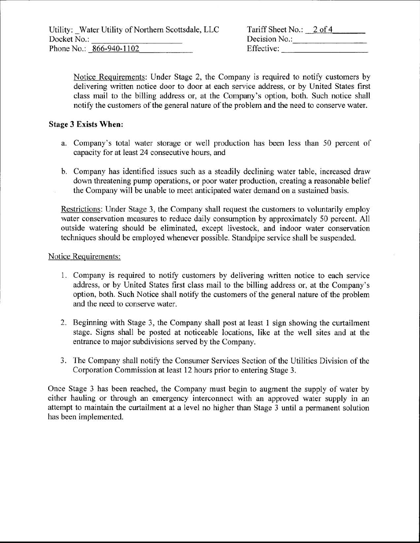Tariff Sheet No.: 2 of 4 Decision No.: Effective:

Notice Requirements: Under Stage 2, the Company is required to notify customers by delivering written notice door to door at each service address, or by United States first class mail to the billing address or, at the Company's option, both. Such notice shall notify the customers of the general nature of the problem and the need to conserve water.

### Stage **3 Exists When:**

- a. Company's total water storage or well production has been less than 50 percent of capacity for at least 24 consecutive hours, and
- b. Company has identified issues such as a steadily declining water table, increased draw down threatening pump operations, or poor water production, creating a reasonable belief the Company will be unable to meet anticipated water demand on a sustained basis.

Restrictions: Under Stage 3, the Company shall request the customers to voluntarily employ water conservation measures to reduce daily consumption by approximately 50 percent. All outside watering should be eliminated, except livestock, and indoor water conservation techniques should be employed whenever possible. Standpipe service shall be suspended.

#### Notice Requirements:

- 1. Company is required to notify customers by delivering written notice to each service address, or by United States first class mail to the billing address or, at the Company's option, both. Such Notice shall notify the customers of the general nature of the problem and the need to conserve water.
- 2. Beginning with Stage 3, the Company shall post at least l sign showing the curtailment stage. Signs shall be posted at noticeable locations, like at the well sites and at the entrance to major subdivisions served by the Company.
- 3. The Company shall notify the Consumer Services Section of the Utilities Division of the Corporation Commission at least 12 hours prior to entering*Stage* 3.

Once Stage 3 has been reached, the Company must begin to augment the supply of water by either hauling or through an emergency interconnect with an approved water supply in an attempt to maintain the curtailment at a level no higher than Stage 3 until a permanent solution has been implemented.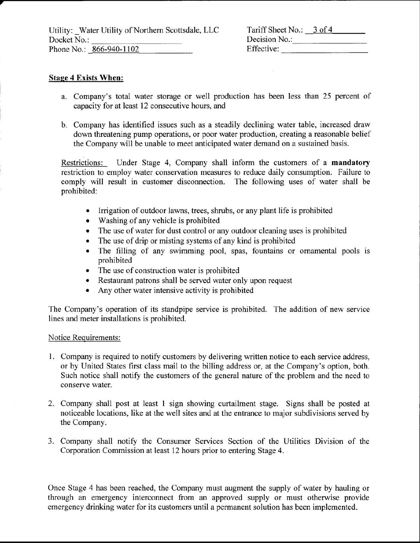| Tariff Sheet No.: 3 of 4 |  |
|--------------------------|--|
| Decision No.:            |  |
| Effective:               |  |

## **Stage 4 Exists When:**

I

- a. Company's total water storage or well production has been less than 25 percent of capacity for at least 12 consecutive hours, and <sup>i</sup>
- b. Company has identified issues such as a steadily declining water table, increased draw down threatening pump operations, or poor water production, creating a reasonable belief the Company will be unable to meet anticipated water demand on a sustained basis.

Restrictions: Under Stage 4, Company shall inform the customers of a **mandatory** restriction to employ water conservation measures to reduce daily consumption. Failure to comply will result in customer disconnection. The following uses of water shall be prohibited:

- Irrigation of outdoor lawns, **trees,**shrubs, or any plant life is prohibited
- Washing of any vehicle is prohibited
- The use of water for dust control or any outdoor cleaning uses is prohibited
- The use of drip or misting systems of any kind is prohibited
- The filling of any swimming pool, spas, fountains or ornamental pools is prohibited
- The use of construction water is prohibited
- Restaurant patrons shall be served water only upon request
- Any other water intensive activity is prohibited

The Company's operation of its standpipe service is prohibited. The addition of new service lines and meter installations is prohibited.

### Notice Requirements:

- l. Company is required to notify customers by delivering written notice to each service address, or by United States first class mail to the billing address or, at the Company's option, both. Such notice shall notify the customers of the general nature of the problem and the need to conserve water.
- 2. Company shall post at least l sign showing curtailment stage. Signs shall be posted at noticeable locations, like at the well sites and at the entrance to major subdivisions served by the Company.
- 3. Company shall notify the Consumer Services Section of the Utilities Division of the Corporation Commission at least 12 hours prior to entering Stage 4.

Once Stage 4 has been reached, the Company must augment the supply of water by hauling or through an emergency interconnect from an approved supply or must otherwise provide emergency drinking water for its customers until a permanent solution has been implemented.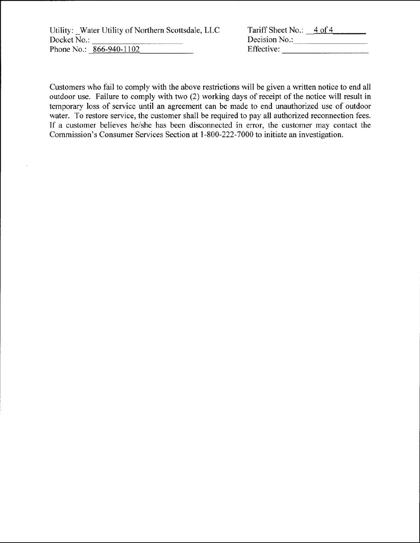Utility: Water Utility of Northern Scottsdale, LLC Docket No.: Phone No.: 866-940-1102

| Tariff Sheet No.: | $4$ of $4$ |
|-------------------|------------|
| Decision No.:     |            |
| Effective:        |            |

Customers who fail to comply with the above restrictions will be given a written notice to end all outdoor use. Failure to comply with two (2) working days of receipt of the notice will result in temporary loss of service until an agreement can be made to end unauthorized use of outdoor water. To restore service, the customer shall be required to pay all authorized reconnection fees. If a customer believes he/she has been disconnected in error, the customer may contact the Commission's Consumer Services Section at 1-800-222-7000 to initiate an investigation.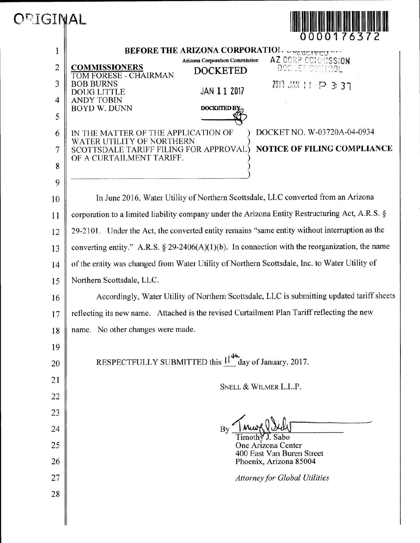

|                | 0000176372                                                                                                                                 |  |
|----------------|--------------------------------------------------------------------------------------------------------------------------------------------|--|
| 1              | BEFORE THE ARIZONA CORPORATION SENSELVED                                                                                                   |  |
| $\overline{c}$ | AZ CORP COMMISSION<br>Arizona Corporation Commission<br><b>COMMISSIONERS</b><br>DOCKET CONTROL<br><b>DOCKETED</b><br>TOM FORESE - CHAIRMAN |  |
| 3              | <b>BOB BURNS</b><br>2011 JAN 11 P 3 37<br>JAN 11 2017<br><b>DOUG LITTLE</b>                                                                |  |
| 4              | <b>ANDY TOBIN</b><br><b>BOYD W. DUNN</b><br><b>DOCKETED BY</b>                                                                             |  |
| 5              |                                                                                                                                            |  |
| 6              | DOCKET NO. W-03720A-04-0934<br>IN THE MATTER OF THE APPLICATION OF                                                                         |  |
| 7              | WATER UTILITY OF NORTHERN<br>NOTICE OF FILING COMPLIANCE<br>SCOTTSDALE TARIFF FILING FOR APPROVAL)<br>OF A CURTAILMENT TARIFF.             |  |
| 8              |                                                                                                                                            |  |
| 9              |                                                                                                                                            |  |
| 10             | In June 2016, Water Utility of Northern Scottsdale, LLC converted from an Arizona                                                          |  |
| 11             | corporation to a limited liability company under the Arizona Entity Restructuring Act, A.R.S. §                                            |  |
| 12             | 29-2101. Under the Act, the converted entity remains "same entity without interruption as the                                              |  |
| 13             | converting entity." A.R.S. $\S$ 29-2406(A)(1)(b). In connection with the reorganization, the name                                          |  |
| 14             | of the entity was changed from Water Utility of Northern Scottsdale, Inc. to Water Utility of                                              |  |
| 15             | Northern Scottsdale, LLC.                                                                                                                  |  |
| 16             | Accordingly, Water Utility of Northern Scottsdale, LLC is submitting updated tariff sheets                                                 |  |
| 17             | reflecting its new name. Attached is the revised Curtailment Plan Tariff reflecting the new                                                |  |
| 18             | name. No other changes were made.                                                                                                          |  |
| 19             |                                                                                                                                            |  |
| 20             | RESPECTFULLY SUBMITTED this $\mathsf{N}^{\mathsf{4h}}$ day of January, 2017.                                                               |  |
| 21             | SNELL & WILMER L.L.P.                                                                                                                      |  |
| 22             |                                                                                                                                            |  |
| 23             |                                                                                                                                            |  |
| 24             | J. Sabo                                                                                                                                    |  |
| 25             | One Arizona Center<br>400 East Van Buren Street                                                                                            |  |
| 26             | Phoenix, Arizona 85004                                                                                                                     |  |
| 27             | <b>Attorney for Global Utilities</b>                                                                                                       |  |
| 28             |                                                                                                                                            |  |
|                |                                                                                                                                            |  |
|                |                                                                                                                                            |  |

ORIGINAL